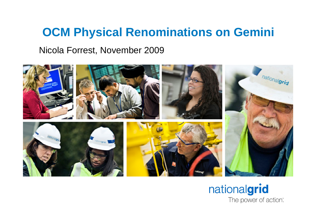# **OCM Physical Renominations on Gemini**

Nicola Forrest, November 2009



#### nationalgrid The power of action".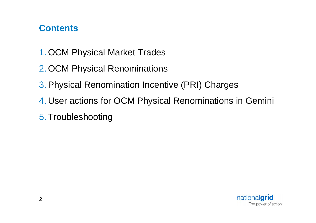#### **Contents**

- 1. OCM Physical Market Trades
- 2. OCM Physical Renominations
- 3. Physical Renomination Incentive (PRI) Charges
- 4. User actions for OCM Physical Renominations in Gemini
- 5. Troubleshooting

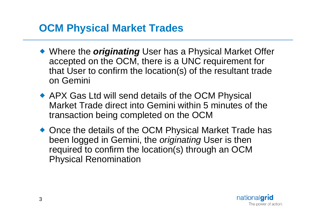## **OCM Physical Market Trades**

- ◆ Where the *originating* User has a Physical Market Offer accepted on the OCM, there is a UNC requirement for that User to confirm the location(s) of the resultant trade on Gemini
- ◆ APX Gas Ltd will send details of the OCM Physical Market Trade direct into Gemini within 5 minutes of the transaction being completed on the OCM
- ◆ Once the details of the OCM Physical Market Trade has been logged in Gemini, the *originating* User is then required to confirm the location(s) through an OCM Physical Renomination

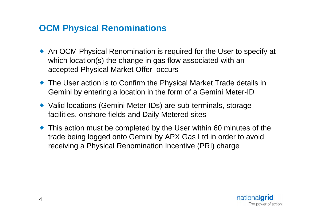### **OCM Physical Renominations**

- An OCM Physical Renomination is required for the User to specify at which location(s) the change in gas flow associated with an accepted Physical Market Offer occurs
- The User action is to Confirm the Physical Market Trade details in Gemini by entering a location in the form of a Gemini Meter-ID
- ◆ Valid locations (Gemini Meter-IDs) are sub-terminals, storage facilities, onshore fields and Daily Metered sites
- This action must be completed by the User within 60 minutes of the trade being logged onto Gemini by APX Gas Ltd in order to avoid receiving a Physical Renomination Incentive (PRI) charge

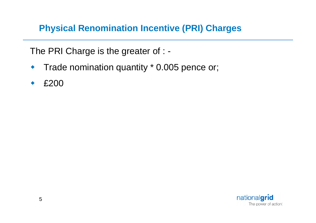#### **Physical Renomination Incentive (PRI) Charges**

The PRI Charge is the greater of : -

- Trade nomination quantity \* 0.005 pence or;
- £200

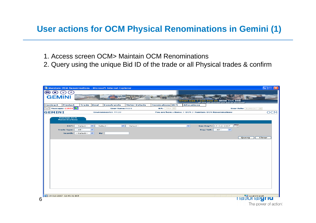#### **User actions for OCM Physical Renominations in Gemini (1)**

- 1. Access screen OCM> Maintain OCM Renominations
- 2. Query using the unique Bid ID of the trade or all Physical trades & confirm

|               |                                             | Maintain OCM Renominations - Microsoft Internet Explorer |                    |                        |                  |                    |                                                                              | EE<br>ll×l           |
|---------------|---------------------------------------------|----------------------------------------------------------|--------------------|------------------------|------------------|--------------------|------------------------------------------------------------------------------|----------------------|
| ⊜<br>Œ        | (A)<br>$\mathbf{w}$                         |                                                          |                    |                        |                  |                    |                                                                              |                      |
| <b>GEMINI</b> |                                             |                                                          |                    |                        |                  |                    |                                                                              |                      |
|               |                                             |                                                          |                    |                        |                  |                    | Smell Gas ? Call free on 0800<br>all calls are recorded and may be monitored | 999                  |
| Contract      | Product                                     | Trade<br>Deal                                            | <b>Constraints</b> | <b>Meter Details</b>   | Nominations OCM  | <b>Allocations</b> |                                                                              |                      |
|               | Messages-22658                              |                                                          |                    | <b>User Name:</b> r008 | <b>BA:</b> TRA Y |                    |                                                                              | User Role: IGMS007   |
| <b>GEMINI</b> |                                             |                                                          | Environment:B PROD |                        |                  |                    | You are here: Home > OCM > Maintain OCM Renominations                        | <b>OCM</b>           |
|               | <b>Maintain OCM</b><br><b>Renominations</b> |                                                          |                    |                        |                  |                    |                                                                              |                      |
|               |                                             |                                                          |                    |                        |                  |                    |                                                                              |                      |
|               |                                             | $BA*:$ --Select-- $\vee$                                 | --Select--         | $\vee$ --Select--      |                  | $\sim$             | Gas Day*: 19-Oct-2007                                                        | ma                   |
|               | Trade Type: -- All --                       | $\overline{\phantom{0}}$                                 |                    |                        |                  |                    | $Buy/Sell:$ --All--<br>$\checkmark$                                          |                      |
|               |                                             | Search: -- Select--                                      | By:                |                        |                  |                    |                                                                              |                      |
|               |                                             |                                                          |                    |                        |                  |                    |                                                                              | Query<br>Clear       |
|               |                                             |                                                          |                    |                        |                  |                    |                                                                              |                      |
|               |                                             |                                                          |                    |                        |                  |                    |                                                                              |                      |
|               |                                             |                                                          |                    |                        |                  |                    |                                                                              |                      |
|               |                                             |                                                          |                    |                        |                  |                    |                                                                              |                      |
|               |                                             |                                                          |                    |                        |                  |                    |                                                                              |                      |
|               |                                             |                                                          |                    |                        |                  |                    |                                                                              |                      |
|               |                                             |                                                          |                    |                        |                  |                    |                                                                              |                      |
|               |                                             |                                                          |                    |                        |                  |                    |                                                                              |                      |
|               |                                             |                                                          |                    |                        |                  |                    |                                                                              |                      |
|               |                                             |                                                          |                    |                        |                  |                    |                                                                              |                      |
|               |                                             |                                                          |                    |                        |                  |                    |                                                                              |                      |
|               |                                             |                                                          |                    |                        |                  |                    |                                                                              |                      |
|               |                                             |                                                          |                    |                        |                  |                    |                                                                              |                      |
|               | 2 19-Oct-2007 12:45:31 BST                  |                                                          |                    |                        |                  |                    |                                                                              | <b>HatilOHalgrid</b> |
|               |                                             |                                                          |                    |                        |                  |                    |                                                                              | The power of action  |
|               |                                             |                                                          |                    |                        |                  |                    |                                                                              |                      |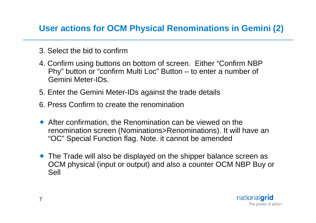#### **User actions for OCM Physical Renominations in Gemini (2)**

- 3. Select the bid to confirm
- 4. Confirm using buttons on bottom of screen. Either "Confirm NBP Phy" button or "confirm Multi Loc" Button – to enter a number of Gemini Meter-IDs.
- 5. Enter the Gemini Meter-IDs against the trade details
- 6. Press Confirm to create the renomination
- After confirmation, the Renomination can be viewed on the renomination screen (Nominations>Renominations). It will have an "OC" Special Function flag. Note. it cannot be amended
- The Trade will also be displayed on the shipper balance screen as OCM physical (input or output) and also a counter OCM NBP Buy or Sell

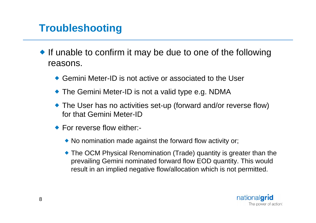# **Troubleshooting**

- If unable to confirm it may be due to one of the following reasons.
	- Gemini Meter-ID is not active or associated to the User
	- ◆ The Gemini Meter-ID is not a valid type e.g. NDMA
	- The User has no activities set-up (forward and/or reverse flow) for that Gemini Meter-ID
	- ◆ For reverse flow either:-
		- No nomination made against the forward flow activity or;
		- The OCM Physical Renomination (Trade) quantity is greater than the prevailing Gemini nominated forward flow EOD quantity. This would result in an implied negative flow/allocation which is not permitted.